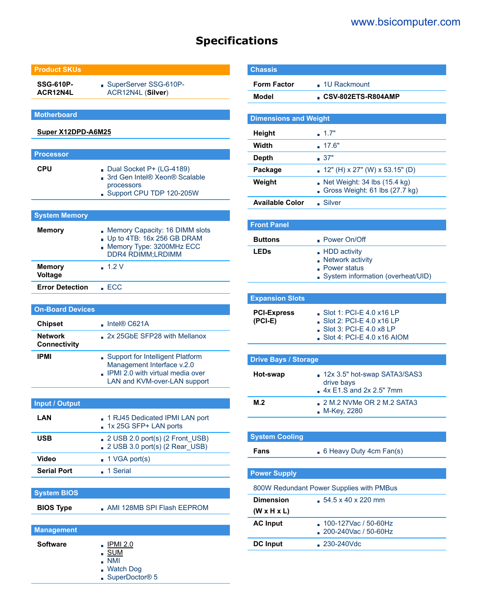### [www.bsicomputer.com](https://www.bsicomputer.com/products/610p-acr12n4l-25261)

## **Specifications**

#### **Product SKUs**

**SSG-610P-ACR12N4L** SuperServer SSG-610P-ACR12N4L (**Silver**)

**Motherboard**

#### **[Super X12DPD-A6M25](https://www.supermicro.com/en/products/motherboard/X12DPD-A6M25)**

| <b>Processor</b>         |                                                                                                                        |
|--------------------------|------------------------------------------------------------------------------------------------------------------------|
| <b>CPU</b>               | Dual Socket P+ (LG-4189)<br>■ 3rd Gen Intel® Xeon® Scalable<br>processors<br>Support CPU TDP 120-205W                  |
|                          |                                                                                                                        |
| <b>System Memory</b>     |                                                                                                                        |
| <b>Memory</b>            | Memory Capacity: 16 DIMM slots<br>Up to 4TB: $16x 256$ GB DRAM<br>Memory Type: 3200MHz ECC<br><b>DDR4 RDIMM;LRDIMM</b> |
| <b>Memory</b><br>Voltage | $-1.2V$                                                                                                                |

#### **On-Board Devices**

**Error Detection ECC** 

| <b>Chipset</b>                        | $\blacksquare$ Intel® C621A                                                                                                          |
|---------------------------------------|--------------------------------------------------------------------------------------------------------------------------------------|
| <b>Network</b><br><b>Connectivity</b> | 2x 25GbE SFP28 with Mellanox                                                                                                         |
| <b>IPMI</b>                           | Support for Intelligent Platform<br>Management Interface v.2.0<br>. IPMI 2.0 with virtual media over<br>LAN and KVM-over-LAN support |

| <b>Input / Output</b> |                                                                                                             |
|-----------------------|-------------------------------------------------------------------------------------------------------------|
| LAN                   | 1 RJ45 Dedicated IPMI LAN port<br>1x 25G SFP+ LAN ports                                                     |
| USB                   | $2 \text{ USB } 2.0 \text{ port(s)} (2 \text{ Front } \text{USB})$<br>$\Box$ 2 USB 3.0 port(s) (2 Rear USB) |
| Video                 | $\blacksquare$ 1 VGA port(s)                                                                                |
| <b>Serial Port</b>    | $-1$ Serial                                                                                                 |

### **System BIOS BIOS Type AMI 128MB SPI Flash EEPROM**

#### **Management**

| <b>Software</b> | $\blacksquare$ IPMI 2.0      |
|-----------------|------------------------------|
|                 | ∎ SUM<br>$\blacksquare$ NMI  |
|                 | ■ Watch Dog                  |
|                 | ■ SuperDoctor <sup>®</sup> 5 |

| <b>Chassis</b>                  |                                                                                                                              |
|---------------------------------|------------------------------------------------------------------------------------------------------------------------------|
| <b>Form Factor</b>              | $\Box$ 1U Rackmount                                                                                                          |
| <b>Model</b>                    | CSV-802ETS-R804AMP                                                                                                           |
|                                 |                                                                                                                              |
| <b>Dimensions and Weight</b>    |                                                                                                                              |
| Height                          | 1.7"                                                                                                                         |
| <b>Width</b>                    | 17.6"                                                                                                                        |
| <b>Depth</b>                    | .37"                                                                                                                         |
| Package                         | 12" (H) x 27" (W) x 53.15" (D)                                                                                               |
| Weight                          | Net Weight: 34 lbs (15.4 kg)<br>Gross Weight: 61 lbs (27.7 kg)                                                               |
| <b>Available Color</b>          | Silver                                                                                                                       |
|                                 |                                                                                                                              |
| <b>Front Panel</b>              |                                                                                                                              |
| <b>Buttons</b>                  | - Power On/Off                                                                                                               |
| <b>LEDs</b>                     | - HDD activity<br>Network activity<br>Power status<br>System information (overheat/UID)                                      |
|                                 |                                                                                                                              |
| <b>Expansion Slots</b>          |                                                                                                                              |
| <b>PCI-Express</b><br>$(PCI-E)$ | $\blacksquare$ Slot 1: PCI-E 4.0 x16 LP<br>Slot 2: PCI-E 4.0 x16 LP<br>Slot 3: PCI-E 4.0 x8 LP<br>Slot 4: PCI-E 4.0 x16 AIOM |
|                                 |                                                                                                                              |
| <b>Drive Bays / Storage</b>     |                                                                                                                              |
| Hot-swap                        | 12x 3.5" hot-swap SATA3/SAS3<br>drive bays<br>4x E1.S and 2x 2.5" 7mm                                                        |
| M.2                             | 2 M.2 NVMe OR 2 M.2 SATA3<br>M-Key, 2280                                                                                     |
|                                 |                                                                                                                              |
| <b>System Cooling</b>           |                                                                                                                              |
| Fans                            | 6 Heavy Duty 4cm Fan(s)                                                                                                      |
| <b>Power Supply</b>             |                                                                                                                              |
|                                 | 800W Redundant Power Supplies with PMBus                                                                                     |
| <b>Dimension</b>                | $54.5 \times 40 \times 220$ mm                                                                                               |
| $(W \times H \times L)$         |                                                                                                                              |
| <b>AC Input</b>                 | 100-127Vac / 50-60Hz<br>200-240Vac / 50-60Hz                                                                                 |
| <b>DC Input</b>                 | 230-240Vdc                                                                                                                   |
|                                 |                                                                                                                              |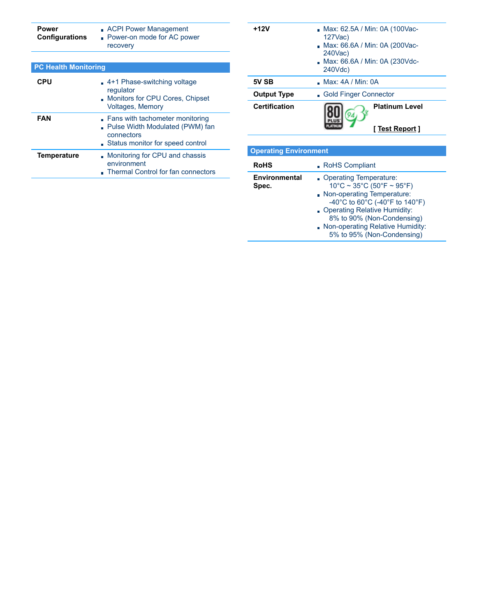| Power<br><b>Configurations</b> | <b>ACPI Power Management</b><br><b>Power-on mode for AC power</b><br>recovery                                        |  |  |
|--------------------------------|----------------------------------------------------------------------------------------------------------------------|--|--|
|                                |                                                                                                                      |  |  |
| <b>PC Health Monitoring</b>    |                                                                                                                      |  |  |
| CPU                            | $\Box$ 4+1 Phase-switching voltage<br>regulator<br>Monitors for CPU Cores, Chipset<br><b>Voltages, Memory</b>        |  |  |
| FAN                            | Fans with tachometer monitoring<br>Pulse Width Modulated (PWM) fan<br>connectors<br>Status monitor for speed control |  |  |
| <b>Temperature</b>             | Monitoring for CPU and chassis<br>environment<br>Thermal Control for fan connectors                                  |  |  |

| +12V                          | Max: 62.5A / Min: 0A (100Vac-<br>127Vac)<br>Max: 66.6A / Min: 0A (200Vac-<br>240Vac)<br>Max: 66.6A / Min: 0A (230Vdc-<br>240Vdc) |  |  |
|-------------------------------|----------------------------------------------------------------------------------------------------------------------------------|--|--|
| 5V SB                         | $\blacksquare$ Max: 4A / Min: 0A                                                                                                 |  |  |
| <b>Output Type</b>            | Gold Finger Connector                                                                                                            |  |  |
| <b>Certification</b>          | <b>Platinum Level</b><br>94<br><u>[ Test Report</u> ]                                                                            |  |  |
| <b>Operating Environment</b>  |                                                                                                                                  |  |  |
| <b>RoHS</b>                   | ■ RoHS Compliant                                                                                                                 |  |  |
| <b>Environmental</b><br>Spec. | Operating Temperature:<br>$10^{\circ}$ C ~ 35°C (50°F ~ 95°F)<br>Non-operating Temperature:<br>-40°C to 60°C (-40°F to 140°F)    |  |  |

- Operating Relative Humidity: 8% to 90% (Non-Condensing) Non-operating Relative Humidity:
	- 5% to 95% (Non-Condensing)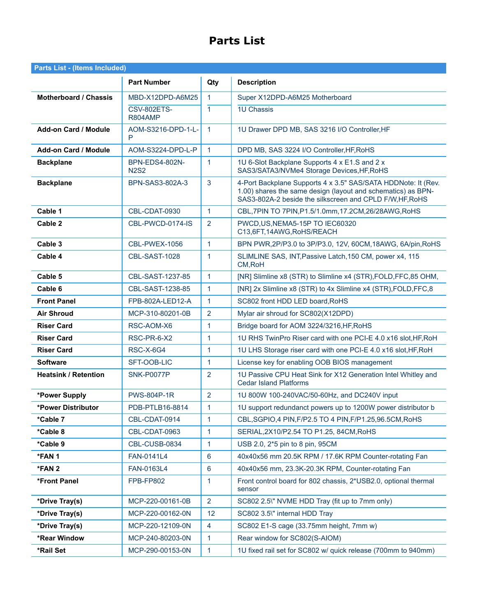# **Parts List**

| <b>Parts List - (Items Included)</b> |                                      |                |                                                                                                                                                                                           |
|--------------------------------------|--------------------------------------|----------------|-------------------------------------------------------------------------------------------------------------------------------------------------------------------------------------------|
|                                      | <b>Part Number</b>                   | Qty            | <b>Description</b>                                                                                                                                                                        |
| <b>Motherboard / Chassis</b>         | MBD-X12DPD-A6M25                     | 1              | Super X12DPD-A6M25 Motherboard                                                                                                                                                            |
|                                      | <b>CSV-802ETS-</b><br><b>R804AMP</b> | $\mathbf{1}$   | <b>1U Chassis</b>                                                                                                                                                                         |
| <b>Add-on Card / Module</b>          | AOM-S3216-DPD-1-L-<br>P              | $\mathbf{1}$   | 1U Drawer DPD MB, SAS 3216 I/O Controller, HF                                                                                                                                             |
| <b>Add-on Card / Module</b>          | AOM-S3224-DPD-L-P                    | $\mathbf{1}$   | DPD MB, SAS 3224 I/O Controller, HF, RoHS                                                                                                                                                 |
| <b>Backplane</b>                     | <b>BPN-EDS4-802N-</b><br><b>N2S2</b> | 1              | 1U 6-Slot Backplane Supports 4 x E1.S and 2 x<br>SAS3/SATA3/NVMe4 Storage Devices, HF, RoHS                                                                                               |
| <b>Backplane</b>                     | BPN-SAS3-802A-3                      | 3              | 4-Port Backplane Supports 4 x 3.5" SAS/SATA HDDNote: It (Rev.<br>1.00) shares the same design (layout and schematics) as BPN-<br>SAS3-802A-2 beside the silkscreen and CPLD F/W, HF, RoHS |
| Cable 1                              | CBL-CDAT-0930                        | $\mathbf{1}$   | CBL, 7PIN TO 7PIN, P1.5/1.0mm, 17.2CM, 26/28AWG, RoHS                                                                                                                                     |
| Cable 2                              | CBL-PWCD-0174-IS                     | $\overline{2}$ | PWCD, US, NEMA5-15P TO IEC60320<br>C13,6FT,14AWG,RoHS/REACH                                                                                                                               |
| Cable 3                              | CBL-PWEX-1056                        | $\mathbf{1}$   | BPN PWR, 2P/P3.0 to 3P/P3.0, 12V, 60CM, 18AWG, 6A/pin, RoHS                                                                                                                               |
| Cable 4                              | CBL-SAST-1028                        | 1              | SLIMLINE SAS, INT, Passive Latch, 150 CM, power x4, 115<br>CM, RoH                                                                                                                        |
| Cable 5                              | CBL-SAST-1237-85                     | $\mathbf{1}$   | [NR] Slimline x8 (STR) to Slimline x4 (STR), FOLD, FFC, 85 OHM,                                                                                                                           |
| Cable 6                              | CBL-SAST-1238-85                     | 1              | [NR] 2x Slimline x8 (STR) to 4x Slimline x4 (STR), FOLD, FFC, 8                                                                                                                           |
| <b>Front Panel</b>                   | FPB-802A-LED12-A                     | $\mathbf{1}$   | SC802 front HDD LED board, RoHS                                                                                                                                                           |
| <b>Air Shroud</b>                    | MCP-310-80201-0B                     | 2              | Mylar air shroud for SC802(X12DPD)                                                                                                                                                        |
| <b>Riser Card</b>                    | RSC-AOM-X6                           | 1              | Bridge board for AOM 3224/3216, HF, RoHS                                                                                                                                                  |
| <b>Riser Card</b>                    | RSC-PR-6-X2                          | 1              | 1U RHS TwinPro Riser card with one PCI-E 4.0 x16 slot, HF, RoH                                                                                                                            |
| <b>Riser Card</b>                    | <b>RSC-X-6G4</b>                     | $\mathbf{1}$   | 1U LHS Storage riser card with one PCI-E 4.0 x16 slot, HF, RoH                                                                                                                            |
| <b>Software</b>                      | SFT-OOB-LIC                          | $\mathbf{1}$   | License key for enabling OOB BIOS management                                                                                                                                              |
| <b>Heatsink / Retention</b>          | <b>SNK-P0077P</b>                    | 2              | 1U Passive CPU Heat Sink for X12 Generation Intel Whitley and<br><b>Cedar Island Platforms</b>                                                                                            |
| *Power Supply                        | <b>PWS-804P-1R</b>                   | 2              | 1U 800W 100-240VAC/50-60Hz, and DC240V input                                                                                                                                              |
| *Power Distributor                   | PDB-PTLB16-8814                      | $\mathbf{1}$   | 1U support redundanct powers up to 1200W power distributor b                                                                                                                              |
| *Cable 7                             | CBL-CDAT-0914                        | 1              | CBL, SGPIO, 4 PIN, F/P2.5 TO 4 PIN, F/P1.25, 96.5CM, RoHS                                                                                                                                 |
| *Cable 8                             | CBL-CDAT-0963                        | 1              | SERIAL, 2X10/P2.54 TO P1.25, 84CM, RoHS                                                                                                                                                   |
| *Cable 9                             | CBL-CUSB-0834                        | 1              | USB 2.0, 2*5 pin to 8 pin, 95CM                                                                                                                                                           |
| *FAN 1                               | FAN-0141L4                           | 6              | 40x40x56 mm 20.5K RPM / 17.6K RPM Counter-rotating Fan                                                                                                                                    |
| *FAN 2                               | FAN-0163L4                           | 6              | 40x40x56 mm, 23.3K-20.3K RPM, Counter-rotating Fan                                                                                                                                        |
| *Front Panel                         | FPB-FP802                            | 1              | Front control board for 802 chassis, 2*USB2.0, optional thermal<br>sensor                                                                                                                 |
| *Drive Tray(s)                       | MCP-220-00161-0B                     | $\overline{2}$ | SC802 2.5\" NVME HDD Tray (fit up to 7mm only)                                                                                                                                            |
| *Drive Tray(s)                       | MCP-220-00162-0N                     | 12             | SC802 3.5\" internal HDD Tray                                                                                                                                                             |
| *Drive Tray(s)                       | MCP-220-12109-0N                     | $\overline{4}$ | SC802 E1-S cage (33.75mm height, 7mm w)                                                                                                                                                   |
| *Rear Window                         | MCP-240-80203-0N                     | 1              | Rear window for SC802(S-AIOM)                                                                                                                                                             |
| *Rail Set                            | MCP-290-00153-0N                     | 1              | 1U fixed rail set for SC802 w/ quick release (700mm to 940mm)                                                                                                                             |